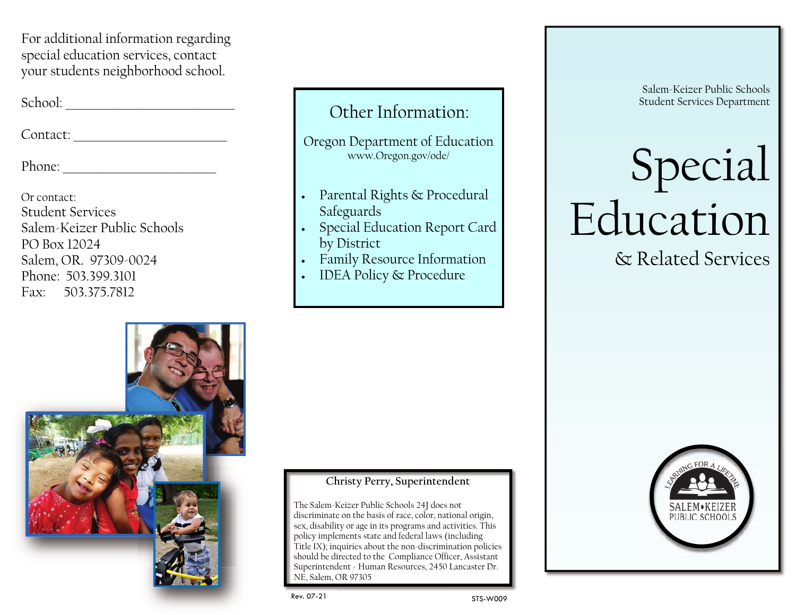For additional information regarding special education services, contact your students neighborhood school.

School: \_\_\_\_\_\_\_\_\_\_\_\_\_\_\_\_\_\_\_\_\_\_\_\_\_\_\_\_\_\_\_\_

Contact: \_\_\_\_\_\_\_\_\_\_\_\_\_\_\_\_\_\_\_\_\_\_\_\_\_\_\_\_\_

Phone:

Or contact: Student Services Salem-Keizer Public Schools PO Box 12024 Salem, OR. 97309-0024 Phone: 503.399.3101 Fax: 503.375.7812



## Other Information:

Oregon Department of Education www.Oregon.gov/ode/

- · Parental Rights & Procedural Safeguards
- Special Education Report Card by District
- · Family Resource Information
- · IDEA Policy & Procedure

Salem-Keizer Public Schools Student Services Department

# Special Education & Related Services

Christy Perry, Superintendent<br>
Salem-Keizer Public Schools 24J does not<br>
rriminate on the basis of race, color, national origin,<br>
disability or age in its programs and activities. This<br>
icy implements state and federal law The Salem-Keizer Public Schools 24J does not discriminate on the basis of race, color, national origin, sex, disability or age in its programs and activities. This policy implements state and federal laws (including Title IX); inquiries about the non-discrimination policies should be directed to the Compliance Officer, Assistant Superintendent - Human Resources, 2450 Lancaster Dr. NE, Salem, OR 97305